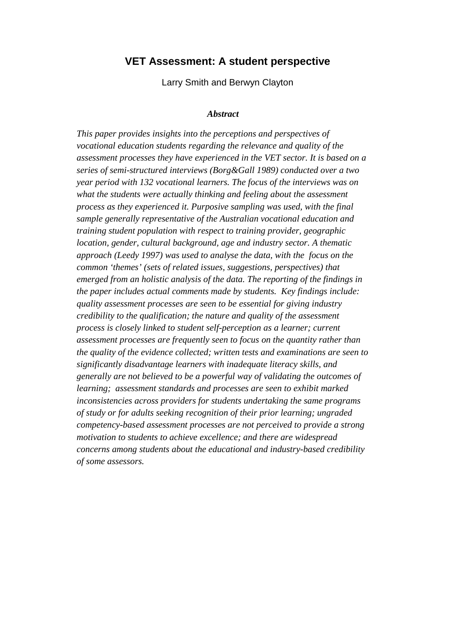# **VET Assessment: A student perspective**

Larry Smith and Berwyn Clayton

#### *Abstract*

*This paper provides insights into the perceptions and perspectives of vocational education students regarding the relevance and quality of the assessment processes they have experienced in the VET sector. It is based on a series of semi-structured interviews (Borg&Gall 1989) conducted over a two year period with 132 vocational learners. The focus of the interviews was on what the students were actually thinking and feeling about the assessment process as they experienced it. Purposive sampling was used, with the final sample generally representative of the Australian vocational education and training student population with respect to training provider, geographic location, gender, cultural background, age and industry sector. A thematic approach (Leedy 1997) was used to analyse the data, with the focus on the common 'themes' (sets of related issues, suggestions, perspectives) that emerged from an holistic analysis of the data. The reporting of the findings in the paper includes actual comments made by students. Key findings include: quality assessment processes are seen to be essential for giving industry credibility to the qualification; the nature and quality of the assessment process is closely linked to student self-perception as a learner; current assessment processes are frequently seen to focus on the quantity rather than the quality of the evidence collected; written tests and examinations are seen to significantly disadvantage learners with inadequate literacy skills, and generally are not believed to be a powerful way of validating the outcomes of learning; assessment standards and processes are seen to exhibit marked inconsistencies across providers for students undertaking the same programs of study or for adults seeking recognition of their prior learning; ungraded competency-based assessment processes are not perceived to provide a strong motivation to students to achieve excellence; and there are widespread concerns among students about the educational and industry-based credibility of some assessors.*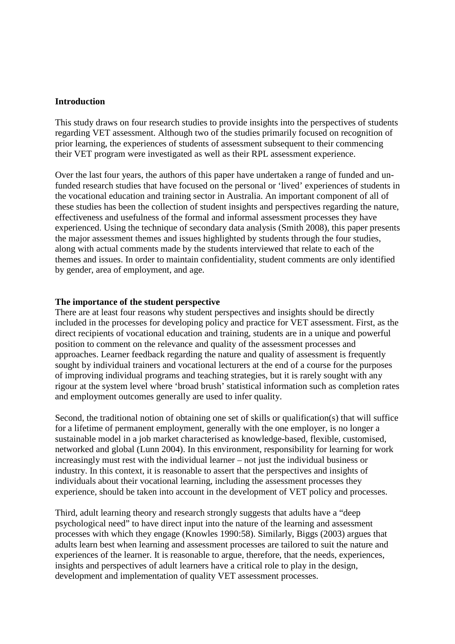### **Introduction**

This study draws on four research studies to provide insights into the perspectives of students regarding VET assessment. Although two of the studies primarily focused on recognition of prior learning, the experiences of students of assessment subsequent to their commencing their VET program were investigated as well as their RPL assessment experience.

Over the last four years, the authors of this paper have undertaken a range of funded and unfunded research studies that have focused on the personal or 'lived' experiences of students in the vocational education and training sector in Australia. An important component of all of these studies has been the collection of student insights and perspectives regarding the nature, effectiveness and usefulness of the formal and informal assessment processes they have experienced. Using the technique of secondary data analysis (Smith 2008), this paper presents the major assessment themes and issues highlighted by students through the four studies, along with actual comments made by the students interviewed that relate to each of the themes and issues. In order to maintain confidentiality, student comments are only identified by gender, area of employment, and age.

#### **The importance of the student perspective**

There are at least four reasons why student perspectives and insights should be directly included in the processes for developing policy and practice for VET assessment. First, as the direct recipients of vocational education and training, students are in a unique and powerful position to comment on the relevance and quality of the assessment processes and approaches. Learner feedback regarding the nature and quality of assessment is frequently sought by individual trainers and vocational lecturers at the end of a course for the purposes of improving individual programs and teaching strategies, but it is rarely sought with any rigour at the system level where 'broad brush' statistical information such as completion rates and employment outcomes generally are used to infer quality.

Second, the traditional notion of obtaining one set of skills or qualification(s) that will suffice for a lifetime of permanent employment, generally with the one employer, is no longer a sustainable model in a job market characterised as knowledge-based, flexible, customised, networked and global (Lunn 2004). In this environment, responsibility for learning for work increasingly must rest with the individual learner – not just the individual business or industry. In this context, it is reasonable to assert that the perspectives and insights of individuals about their vocational learning, including the assessment processes they experience, should be taken into account in the development of VET policy and processes.

Third, adult learning theory and research strongly suggests that adults have a "deep psychological need" to have direct input into the nature of the learning and assessment processes with which they engage (Knowles 1990:58). Similarly, Biggs (2003) argues that adults learn best when learning and assessment processes are tailored to suit the nature and experiences of the learner. It is reasonable to argue, therefore, that the needs, experiences, insights and perspectives of adult learners have a critical role to play in the design, development and implementation of quality VET assessment processes.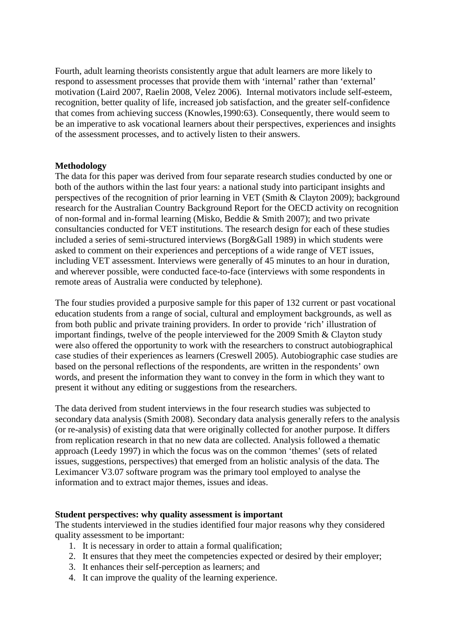Fourth, adult learning theorists consistently argue that adult learners are more likely to respond to assessment processes that provide them with 'internal' rather than 'external' motivation (Laird 2007, Raelin 2008, Velez 2006). Internal motivators include self-esteem, recognition, better quality of life, increased job satisfaction, and the greater self-confidence that comes from achieving success (Knowles,1990:63). Consequently, there would seem to be an imperative to ask vocational learners about their perspectives, experiences and insights of the assessment processes, and to actively listen to their answers.

## **Methodology**

The data for this paper was derived from four separate research studies conducted by one or both of the authors within the last four years: a national study into participant insights and perspectives of the recognition of prior learning in VET (Smith & Clayton 2009); background research for the Australian Country Background Report for the OECD activity on recognition of non-formal and in-formal learning (Misko, Beddie & Smith 2007); and two private consultancies conducted for VET institutions. The research design for each of these studies included a series of semi-structured interviews (Borg&Gall 1989) in which students were asked to comment on their experiences and perceptions of a wide range of VET issues, including VET assessment. Interviews were generally of 45 minutes to an hour in duration, and wherever possible, were conducted face-to-face (interviews with some respondents in remote areas of Australia were conducted by telephone).

The four studies provided a purposive sample for this paper of 132 current or past vocational education students from a range of social, cultural and employment backgrounds, as well as from both public and private training providers. In order to provide 'rich' illustration of important findings, twelve of the people interviewed for the 2009 Smith & Clayton study were also offered the opportunity to work with the researchers to construct autobiographical case studies of their experiences as learners (Creswell 2005). Autobiographic case studies are based on the personal reflections of the respondents, are written in the respondents' own words, and present the information they want to convey in the form in which they want to present it without any editing or suggestions from the researchers.

The data derived from student interviews in the four research studies was subjected to secondary data analysis (Smith 2008). Secondary data analysis generally refers to the analysis (or re-analysis) of existing data that were originally collected for another purpose. It differs from replication research in that no new data are collected. Analysis followed a thematic approach (Leedy 1997) in which the focus was on the common 'themes' (sets of related issues, suggestions, perspectives) that emerged from an holistic analysis of the data. The Leximancer V3.07 software program was the primary tool employed to analyse the information and to extract major themes, issues and ideas.

#### **Student perspectives: why quality assessment is important**

The students interviewed in the studies identified four major reasons why they considered quality assessment to be important:

- 1. It is necessary in order to attain a formal qualification;
- 2. It ensures that they meet the competencies expected or desired by their employer;
- 3. It enhances their self-perception as learners; and
- 4. It can improve the quality of the learning experience.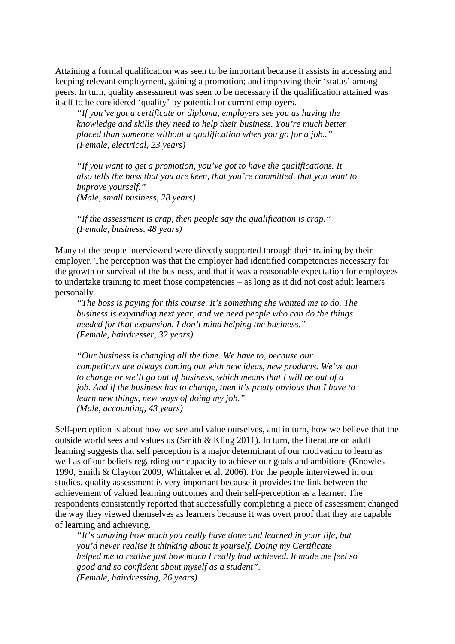Attaining a formal qualification was seen to be important because it assists in accessing and keeping relevant employment, gaining a promotion; and improving their 'status' among peers. In turn, quality assessment was seen to be necessary if the qualification attained was itself to be considered 'quality' by potential or current employers.

*"If you've got a certificate or diploma, employers see you as having the knowledge and skills they need to help their business. You're much better placed than someone without a qualification when you go for a job.." (Female, electrical, 23 years)* 

*"If you want to get a promotion, you've got to have the qualifications. It also tells the boss that you are keen, that you're committed, that you want to improve yourself." (Male, small business, 28 years)* 

*"If the assessment is crap, then people say the qualification is crap." (Female, business, 48 years)* 

Many of the people interviewed were directly supported through their training by their employer. The perception was that the employer had identified competencies necessary for the growth or survival of the business, and that it was a reasonable expectation for employees to undertake training to meet those competencies – as long as it did not cost adult learners personally.

*"The boss is paying for this course. It's something she wanted me to do. The business is expanding next year, and we need people who can do the things needed for that expansion. I don't mind helping the business." (Female, hairdresser, 32 years)* 

*"Our business is changing all the time. We have to, because our competitors are always coming out with new ideas, new products. We've got to change or we'll go out of business, which means that I will be out of a job. And if the business has to change, then it's pretty obvious that I have to learn new things, new ways of doing my job." (Male, accounting, 43 years)* 

Self-perception is about how we see and value ourselves, and in turn, how we believe that the outside world sees and values us (Smith  $&$  Kling 2011). In turn, the literature on adult learning suggests that self perception is a major determinant of our motivation to learn as well as of our beliefs regarding our capacity to achieve our goals and ambitions (Knowles 1990, Smith & Clayton 2009, Whittaker et al. 2006). For the people interviewed in our studies, quality assessment is very important because it provides the link between the achievement of valued learning outcomes and their self-perception as a learner. The respondents consistently reported that successfully completing a piece of assessment changed the way they viewed themselves as learners because it was overt proof that they are capable of learning and achieving.

*"It's amazing how much you really have done and learned in your life, but you'd never realise it thinking about it yourself. Doing my Certificate helped me to realise just how much I really had achieved. It made me feel so good and so confident about myself as a student". (Female, hairdressing, 26 years)*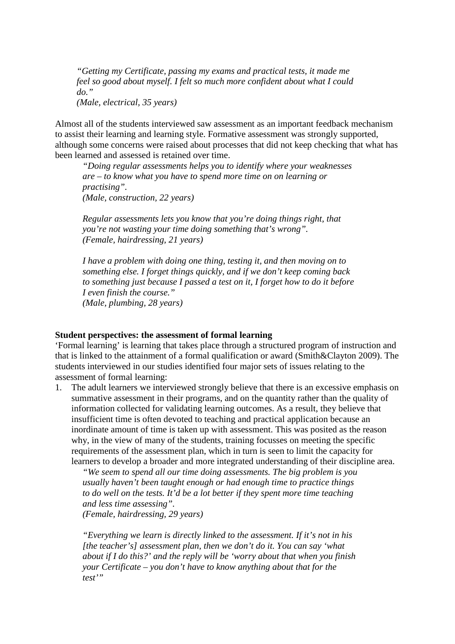*"Getting my Certificate, passing my exams and practical tests, it made me feel so good about myself. I felt so much more confident about what I could do." (Male, electrical, 35 years)*

Almost all of the students interviewed saw assessment as an important feedback mechanism to assist their learning and learning style. Formative assessment was strongly supported, although some concerns were raised about processes that did not keep checking that what has been learned and assessed is retained over time.

*"Doing regular assessments helps you to identify where your weaknesses are – to know what you have to spend more time on on learning or practising". (Male, construction, 22 years)* 

*Regular assessments lets you know that you're doing things right, that you're not wasting your time doing something that's wrong". (Female, hairdressing, 21 years)* 

*I have a problem with doing one thing, testing it, and then moving on to something else. I forget things quickly, and if we don't keep coming back to something just because I passed a test on it, I forget how to do it before I even finish the course." (Male, plumbing, 28 years)* 

#### **Student perspectives: the assessment of formal learning**

'Formal learning' is learning that takes place through a structured program of instruction and that is linked to the attainment of a formal qualification or award (Smith&Clayton 2009). The students interviewed in our studies identified four major sets of issues relating to the assessment of formal learning:

1. The adult learners we interviewed strongly believe that there is an excessive emphasis on summative assessment in their programs, and on the quantity rather than the quality of information collected for validating learning outcomes. As a result, they believe that insufficient time is often devoted to teaching and practical application because an inordinate amount of time is taken up with assessment. This was posited as the reason why, in the view of many of the students, training focusses on meeting the specific requirements of the assessment plan, which in turn is seen to limit the capacity for learners to develop a broader and more integrated understanding of their discipline area.

*"We seem to spend all our time doing assessments. The big problem is you usually haven't been taught enough or had enough time to practice things to do well on the tests. It'd be a lot better if they spent more time teaching and less time assessing".* 

*(Female, hairdressing, 29 years)* 

*"Everything we learn is directly linked to the assessment. If it's not in his [the teacher's] assessment plan, then we don't do it. You can say 'what about if I do this?' and the reply will be 'worry about that when you finish your Certificate – you don't have to know anything about that for the test'"*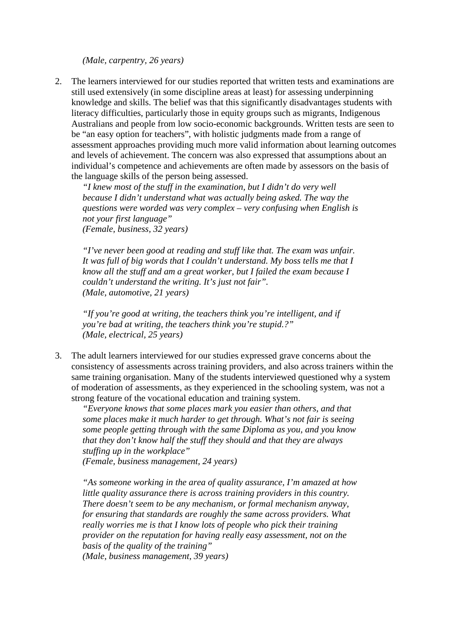*(Male, carpentry, 26 years)* 

2. The learners interviewed for our studies reported that written tests and examinations are still used extensively (in some discipline areas at least) for assessing underpinning knowledge and skills. The belief was that this significantly disadvantages students with literacy difficulties, particularly those in equity groups such as migrants, Indigenous Australians and people from low socio-economic backgrounds. Written tests are seen to be "an easy option for teachers", with holistic judgments made from a range of assessment approaches providing much more valid information about learning outcomes and levels of achievement. The concern was also expressed that assumptions about an individual's competence and achievements are often made by assessors on the basis of the language skills of the person being assessed.

*"I knew most of the stuff in the examination, but I didn't do very well because I didn't understand what was actually being asked. The way the questions were worded was very complex – very confusing when English is not your first language" (Female, business, 32 years)* 

*"I've never been good at reading and stuff like that. The exam was unfair. It was full of big words that I couldn't understand. My boss tells me that I know all the stuff and am a great worker, but I failed the exam because I couldn't understand the writing. It's just not fair". (Male, automotive, 21 years)* 

*"If you're good at writing, the teachers think you're intelligent, and if you're bad at writing, the teachers think you're stupid.?" (Male, electrical, 25 years)* 

3. The adult learners interviewed for our studies expressed grave concerns about the consistency of assessments across training providers, and also across trainers within the same training organisation. Many of the students interviewed questioned why a system of moderation of assessments, as they experienced in the schooling system, was not a strong feature of the vocational education and training system.

*"Everyone knows that some places mark you easier than others, and that some places make it much harder to get through. What's not fair is seeing some people getting through with the same Diploma as you, and you know that they don't know half the stuff they should and that they are always stuffing up in the workplace"* 

*(Female, business management, 24 years)* 

*"As someone working in the area of quality assurance, I'm amazed at how little quality assurance there is across training providers in this country. There doesn't seem to be any mechanism, or formal mechanism anyway, for ensuring that standards are roughly the same across providers. What really worries me is that I know lots of people who pick their training provider on the reputation for having really easy assessment, not on the basis of the quality of the training" (Male, business management, 39 years)*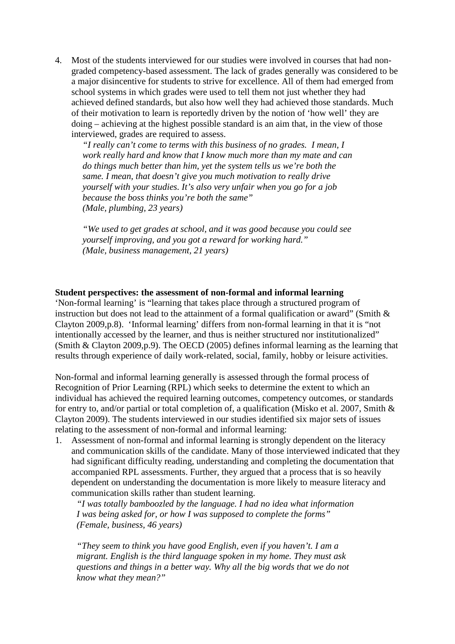4. Most of the students interviewed for our studies were involved in courses that had nongraded competency-based assessment. The lack of grades generally was considered to be a major disincentive for students to strive for excellence. All of them had emerged from school systems in which grades were used to tell them not just whether they had achieved defined standards, but also how well they had achieved those standards. Much of their motivation to learn is reportedly driven by the notion of 'how well' they are doing – achieving at the highest possible standard is an aim that, in the view of those interviewed, grades are required to assess.

*"I really can't come to terms with this business of no grades. I mean, I work really hard and know that I know much more than my mate and can do things much better than him, yet the system tells us we're both the same. I mean, that doesn't give you much motivation to really drive yourself with your studies. It's also very unfair when you go for a job because the boss thinks you're both the same" (Male, plumbing, 23 years)* 

*"We used to get grades at school, and it was good because you could see yourself improving, and you got a reward for working hard." (Male, business management, 21 years)* 

### **Student perspectives: the assessment of non-formal and informal learning**

'Non-formal learning' is "learning that takes place through a structured program of instruction but does not lead to the attainment of a formal qualification or award" (Smith & Clayton 2009,p.8). 'Informal learning' differs from non-formal learning in that it is "not intentionally accessed by the learner, and thus is neither structured nor institutionalized" (Smith & Clayton 2009,p.9). The OECD (2005) defines informal learning as the learning that results through experience of daily work-related, social, family, hobby or leisure activities.

Non-formal and informal learning generally is assessed through the formal process of Recognition of Prior Learning (RPL) which seeks to determine the extent to which an individual has achieved the required learning outcomes, competency outcomes, or standards for entry to, and/or partial or total completion of, a qualification (Misko et al. 2007, Smith & Clayton 2009). The students interviewed in our studies identified six major sets of issues relating to the assessment of non-formal and informal learning:

1. Assessment of non-formal and informal learning is strongly dependent on the literacy and communication skills of the candidate. Many of those interviewed indicated that they had significant difficulty reading, understanding and completing the documentation that accompanied RPL assessments. Further, they argued that a process that is so heavily dependent on understanding the documentation is more likely to measure literacy and communication skills rather than student learning.

*"I was totally bamboozled by the language. I had no idea what information I was being asked for, or how I was supposed to complete the forms" (Female, business, 46 years)* 

*"They seem to think you have good English, even if you haven't. I am a migrant. English is the third language spoken in my home. They must ask questions and things in a better way. Why all the big words that we do not know what they mean?"*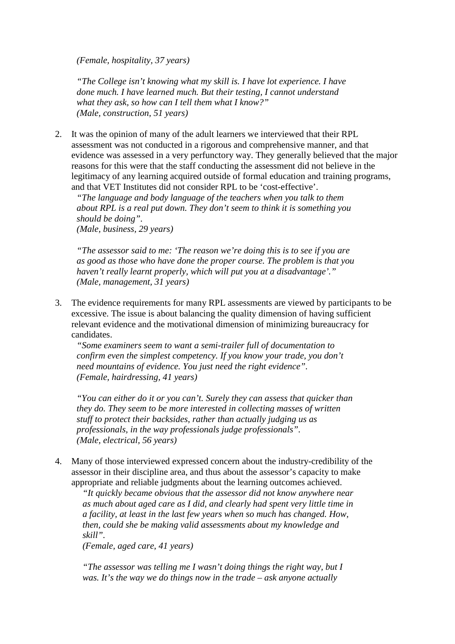*(Female, hospitality, 37 years)* 

*"The College isn't knowing what my skill is. I have lot experience. I have done much. I have learned much. But their testing, I cannot understand what they ask, so how can I tell them what I know?" (Male, construction, 51 years)* 

2. It was the opinion of many of the adult learners we interviewed that their RPL assessment was not conducted in a rigorous and comprehensive manner, and that evidence was assessed in a very perfunctory way. They generally believed that the major reasons for this were that the staff conducting the assessment did not believe in the legitimacy of any learning acquired outside of formal education and training programs, and that VET Institutes did not consider RPL to be 'cost-effective'.

*"The language and body language of the teachers when you talk to them about RPL is a real put down. They don't seem to think it is something you should be doing". (Male, business, 29 years)* 

*"The assessor said to me: 'The reason we're doing this is to see if you are as good as those who have done the proper course. The problem is that you haven't really learnt properly, which will put you at a disadvantage'." (Male, management, 31 years)* 

3. The evidence requirements for many RPL assessments are viewed by participants to be excessive. The issue is about balancing the quality dimension of having sufficient relevant evidence and the motivational dimension of minimizing bureaucracy for candidates.

*"Some examiners seem to want a semi-trailer full of documentation to confirm even the simplest competency. If you know your trade, you don't need mountains of evidence. You just need the right evidence". (Female, hairdressing, 41 years)* 

*"You can either do it or you can't. Surely they can assess that quicker than they do. They seem to be more interested in collecting masses of written stuff to protect their backsides, rather than actually judging us as professionals, in the way professionals judge professionals". (Male, electrical, 56 years)* 

4. Many of those interviewed expressed concern about the industry-credibility of the assessor in their discipline area, and thus about the assessor's capacity to make appropriate and reliable judgments about the learning outcomes achieved.

*"It quickly became obvious that the assessor did not know anywhere near as much about aged care as I did, and clearly had spent very little time in a facility, at least in the last few years when so much has changed. How, then, could she be making valid assessments about my knowledge and skill".* 

*(Female, aged care, 41 years)* 

*"The assessor was telling me I wasn't doing things the right way, but I was. It's the way we do things now in the trade – ask anyone actually*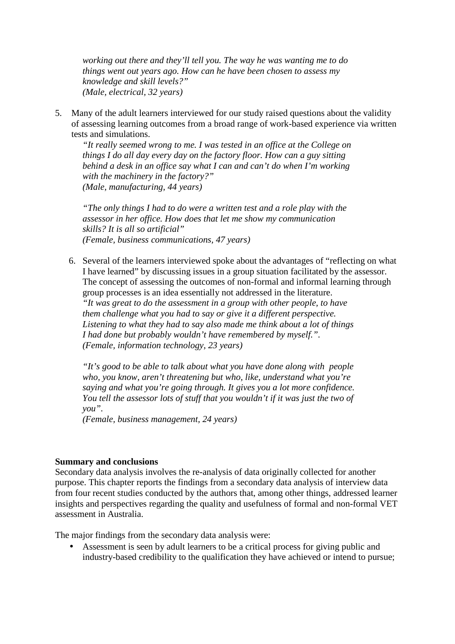*working out there and they'll tell you. The way he was wanting me to do things went out years ago. How can he have been chosen to assess my knowledge and skill levels?" (Male, electrical, 32 years)* 

5. Many of the adult learners interviewed for our study raised questions about the validity of assessing learning outcomes from a broad range of work-based experience via written tests and simulations.

*"It really seemed wrong to me. I was tested in an office at the College on things I do all day every day on the factory floor. How can a guy sitting behind a desk in an office say what I can and can't do when I'm working with the machinery in the factory?" (Male, manufacturing, 44 years)* 

*"The only things I had to do were a written test and a role play with the assessor in her office. How does that let me show my communication skills? It is all so artificial" (Female, business communications, 47 years)* 

6. Several of the learners interviewed spoke about the advantages of "reflecting on what I have learned" by discussing issues in a group situation facilitated by the assessor. The concept of assessing the outcomes of non-formal and informal learning through group processes is an idea essentially not addressed in the literature. *"It was great to do the assessment in a group with other people, to have them challenge what you had to say or give it a different perspective. Listening to what they had to say also made me think about a lot of things I had done but probably wouldn't have remembered by myself.". (Female, information technology, 23 years)* 

*"It's good to be able to talk about what you have done along with people who, you know, aren't threatening but who, like, understand what you're saying and what you're going through. It gives you a lot more confidence. You tell the assessor lots of stuff that you wouldn't if it was just the two of you".* 

*(Female, business management, 24 years)* 

## **Summary and conclusions**

Secondary data analysis involves the re-analysis of data originally collected for another purpose. This chapter reports the findings from a secondary data analysis of interview data from four recent studies conducted by the authors that, among other things, addressed learner insights and perspectives regarding the quality and usefulness of formal and non-formal VET assessment in Australia.

The major findings from the secondary data analysis were:

• Assessment is seen by adult learners to be a critical process for giving public and industry-based credibility to the qualification they have achieved or intend to pursue;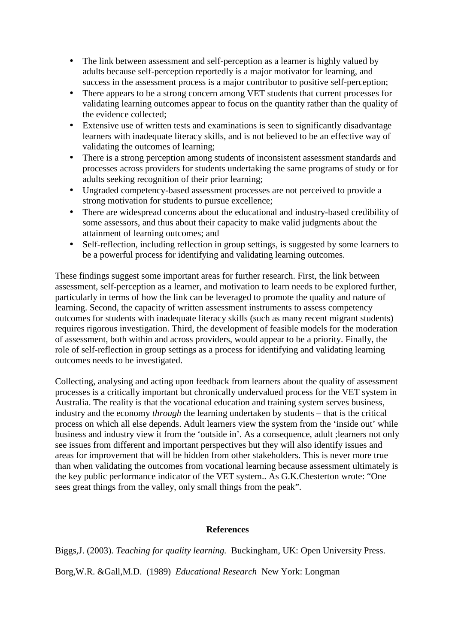- The link between assessment and self-perception as a learner is highly valued by adults because self-perception reportedly is a major motivator for learning, and success in the assessment process is a major contributor to positive self-perception;
- There appears to be a strong concern among VET students that current processes for validating learning outcomes appear to focus on the quantity rather than the quality of the evidence collected;
- Extensive use of written tests and examinations is seen to significantly disadvantage learners with inadequate literacy skills, and is not believed to be an effective way of validating the outcomes of learning;
- There is a strong perception among students of inconsistent assessment standards and processes across providers for students undertaking the same programs of study or for adults seeking recognition of their prior learning;
- Ungraded competency-based assessment processes are not perceived to provide a strong motivation for students to pursue excellence;
- There are widespread concerns about the educational and industry-based credibility of some assessors, and thus about their capacity to make valid judgments about the attainment of learning outcomes; and
- Self-reflection, including reflection in group settings, is suggested by some learners to be a powerful process for identifying and validating learning outcomes.

These findings suggest some important areas for further research. First, the link between assessment, self-perception as a learner, and motivation to learn needs to be explored further, particularly in terms of how the link can be leveraged to promote the quality and nature of learning. Second, the capacity of written assessment instruments to assess competency outcomes for students with inadequate literacy skills (such as many recent migrant students) requires rigorous investigation. Third, the development of feasible models for the moderation of assessment, both within and across providers, would appear to be a priority. Finally, the role of self-reflection in group settings as a process for identifying and validating learning outcomes needs to be investigated.

Collecting, analysing and acting upon feedback from learners about the quality of assessment processes is a critically important but chronically undervalued process for the VET system in Australia. The reality is that the vocational education and training system serves business, industry and the economy *through* the learning undertaken by students – that is the critical process on which all else depends. Adult learners view the system from the 'inside out' while business and industry view it from the 'outside in'. As a consequence, adult ;learners not only see issues from different and important perspectives but they will also identify issues and areas for improvement that will be hidden from other stakeholders. This is never more true than when validating the outcomes from vocational learning because assessment ultimately is the key public performance indicator of the VET system.. As G.K.Chesterton wrote: "One sees great things from the valley, only small things from the peak".

## **References**

Biggs,J. (2003). *Teaching for quality learning.* Buckingham, UK: Open University Press. Borg,W.R. &Gall,M.D. (1989) *Educational Research* New York: Longman